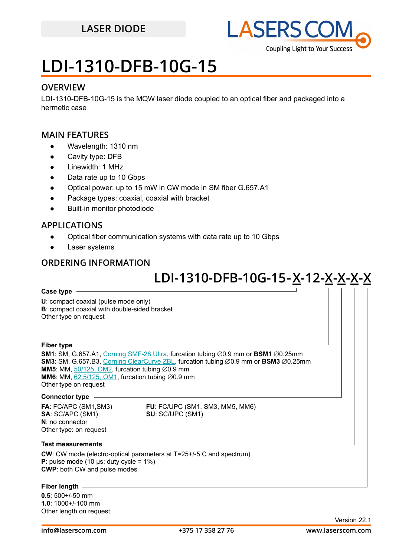

## **LDI-1310-DFB-10G-15**

### **OVERVIEW**

LDI-1310-DFB-10G-15 is the MQW laser diode coupled to an optical fiber and packaged into a hermetic case

### **MAIN FEATURES**

- Wavelength: 1310 nm
- Cavity type: DFB
- Linewidth: 1 MHz
- Data rate up to 10 Gbps
- Optical power: up to 15 mW in CW mode in SM fiber G.657.A1
- Package types: coaxial, coaxial with bracket
- Built-in monitor photodiode

### **APPLICATIONS**

- Optical fiber communication systems with data rate up to 10 Gbps
- Laser systems

### **ORDERING INFORMATION**

## **LDI-1310-DFB-10G-15 -X 12-X-X-X-X -**

### **Case type**

**U**: compact coaxial (pulse mode only) **B**: compact coaxial with double-sided bracket Other type on request

#### **Fiber type**

**SM1**: SM, G.657.A1, [Corning SMF-28 Ultra](https://drive.google.com/file/d/1JeMdVLHUIGFdzKdBnzaeOmjsa81S284f/view?usp=sharing), furcation tubing ∅0.9 mm or **BSM1** ∅0.25mm **SM3**: SM, G.657.B3, [Corning ClearCurve ZBL](https://drive.google.com/file/d/1BnScs4F0ApGayHF4MQJvm8phLaEPHUV0/view?usp=sharing), furcation tubing ∅0.9 mm or **BSM3** ∅0.25mm **MM5**: MM, [50/125, OM2,](https://drive.google.com/file/d/1qdrFbkj0z2RSaUBupr27Z7mpeH-sMeyX/view?usp=sharing) furcation tubing ∅0.9 mm **MM6**: MM,  $62.5/125$ , OM1, furcation tubing  $\varnothing$ 0.9 mm Other type on request

#### **Connector type**

**N**: no connector Other type: on request

**FA**: FC/APC (SM1,SM3) **FU**: FC/UPC (SM1, SM3, MM5, MM6)<br>**SA**: SC/APC (SM1) **SU**: SC/UPC (SM1) **SU: SC/UPC (SM1)** 

#### **Test measurements**

**CW**: CW mode (electro-optical parameters at T=25+/-5 C and spectrum) **P**: pulse mode (10 μs; duty cycle =  $1\%$ ) **CWP**: both CW and pulse modes

#### **Fiber length**

**0.5**: 500+/-50 mm **1.0**: 1000+/-100 mm Other length on request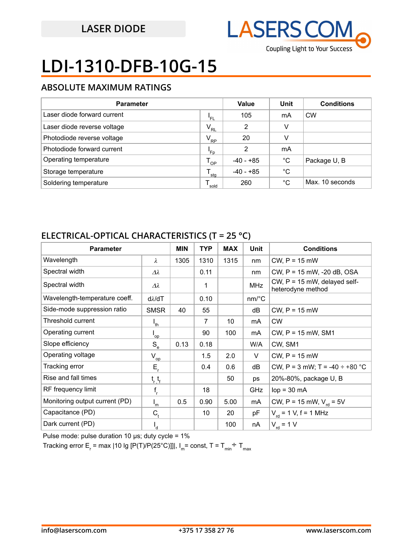

# **LDI-1310-DFB-10G-15**

## **ABSOLUTE MAXIMUM RATINGS**

| <b>Parameter</b>            |                  | Value       | Unit        | <b>Conditions</b> |
|-----------------------------|------------------|-------------|-------------|-------------------|
| Laser diode forward current | 'FL              | 105         | mA          | <b>CW</b>         |
| Laser diode reverse voltage | $V_{RL}$         | 2           | v           |                   |
| Photodiode reverse voltage  | $V_{\rm RP}$     | 20          | v           |                   |
| Photodiode forward current  | 'Fp              | 2           | mA          |                   |
| Operating temperature       | $T_{OP}$         | $-40 - +85$ | $^{\circ}C$ | Package U, B      |
| Storage temperature         | $^{\bullet}$ stg | $-40 - +85$ | $^{\circ}C$ |                   |
| Soldering temperature       | sold             | 260         | °C          | Max. 10 seconds   |

## **ELECTRICAL-OPTICAL CHARACTERISTICS (T = 25 °C)**

| <b>Parameter</b>               |                            | <b>MIN</b> | <b>TYP</b> | <b>MAX</b> | <b>Unit</b>           | <b>Conditions</b>                                 |
|--------------------------------|----------------------------|------------|------------|------------|-----------------------|---------------------------------------------------|
| Wavelength                     | λ                          | 1305       | 1310       | 1315       | nm                    | $CW$ , $P = 15$ mW                                |
| Spectral width                 | $\Delta\lambda$            |            | 0.11       |            | nm                    | CW, P = 15 mW, -20 dB, OSA                        |
| Spectral width                 | $\varDelta\lambda$         |            | 1          |            | <b>MHz</b>            | CW, P = 15 mW, delayed self-<br>heterodyne method |
| Wavelength-temperature coeff.  | $d\lambda/dT$              |            | 0.10       |            | $nm$ <sup>o</sup> $C$ |                                                   |
| Side-mode suppression ratio    | <b>SMSR</b>                | 40         | 55         |            | dB                    | $CW$ , $P = 15$ mW                                |
| Threshold current              | $I_{th}$                   |            | 7          | 10         | mA                    | <b>CW</b>                                         |
| Operating current              | $\mathsf{I}_{\mathsf{op}}$ |            | 90         | 100        | mA                    | CW, P = 15 mW, SM1                                |
| Slope efficiency               | $S_e$                      | 0.13       | 0.18       |            | W/A                   | CW, SM1                                           |
| Operating voltage              | $\rm V_{\rm op}$           |            | 1.5        | 2.0        | V                     | $CW$ , $P = 15$ mW                                |
| Tracking error                 | $E_r$                      |            | 0.4        | 0.6        | dB                    | CW, P = 3 mW; T = -40 $\div$ +80 °C               |
| Rise and fall times            | $t_{r,t_{f}}$              |            |            | 50         | ps                    | 20%-80%, package U, B                             |
| RF frequency limit             | $\mathsf{f}_{\mathsf{r}}$  |            | 18         |            | <b>GHz</b>            | $lop = 30 mA$                                     |
| Monitoring output current (PD) | ı<br>m                     | 0.5        | 0.90       | 5.00       | mA                    | CW, P = 15 mW, $V_{rd}$ = 5V                      |
| Capacitance (PD)               | $C_{t}$                    |            | 10         | 20         | pF                    | $V_{\text{rd}}$ = 1 V, f = 1 MHz                  |
| Dark current (PD)              | ı q                        |            |            | 100        | nA                    | $V_{rd}$ = 1 V                                    |

Pulse mode: pulse duration 10  $\mu$ s; duty cycle = 1%

Tracking error E<sub>r</sub> = max |10 lg [P(T)/P(25°C)]]|, I<sub>m</sub>= const, T = T<sub>min</sub>÷ T<sub>max</sub>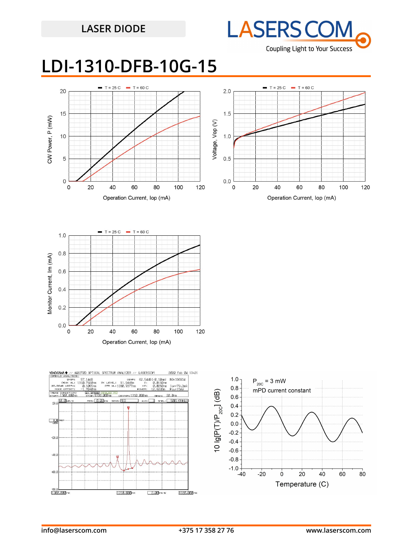

## **LDI-1310-DFB-10G-15**







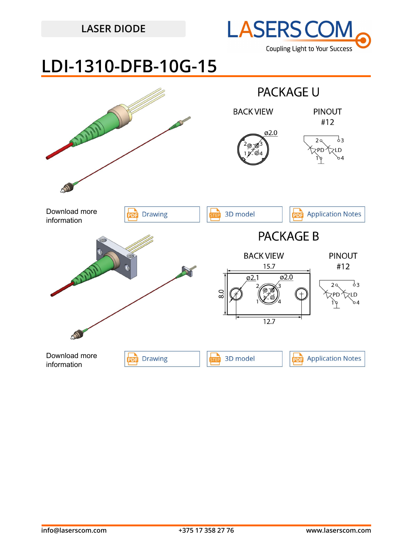

## **LDI-1310-DFB-10G-15**